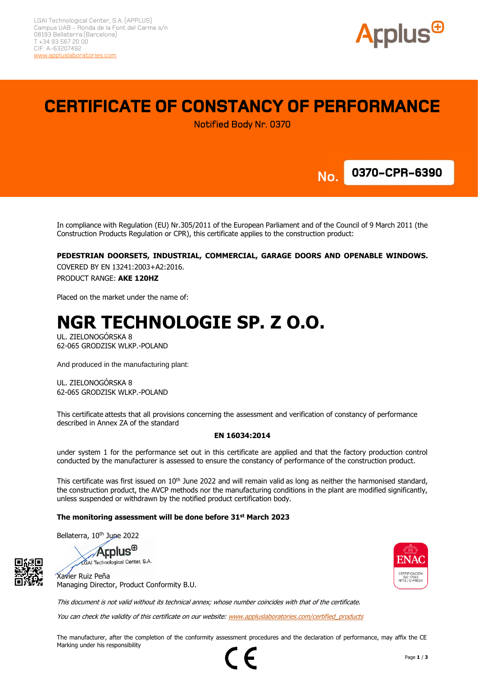

## **CERTIFICATE OF CONSTANCY OF PERFORMANCE**

Notified Body Nr. 0370



**No.**

In compliance with Regulation (EU) Nr.305/2011 of the European Parliament and of the Council of 9 March 2011 (the Construction Products Regulation or CPR), this certificate applies to the construction product:

#### **PEDESTRIAN DOORSETS, INDUSTRIAL, COMMERCIAL, GARAGE DOORS AND OPENABLE WINDOWS.**

COVERED BY EN 13241:2003+A2:2016. PRODUCT RANGE: **AKE 120HZ**

Placed on the market under the name of:

# **NGR TECHNOLOGIE SP. Z O.O.**

UL. ZIELONOGÓRSKA 8 62-065 GRODZISK WLKP.-POLAND

And produced in the manufacturing plant:

UL. ZIELONOGÓRSKA 8 62-065 GRODZISK WLKP.-POLAND

This certificate attests that all provisions concerning the assessment and verification of constancy of performance described in Annex ZA of the standard

#### **EN 16034:2014**

under system 1 for the performance set out in this certificate are applied and that the factory production control conducted by the manufacturer is assessed to ensure the constancy of performance of the construction product.

This certificate was first issued on 10<sup>th</sup> June 2022 and will remain valid as long as neither the harmonised standard, the construction product, the AVCP methods nor the manufacturing conditions in the plant are modified significantly, unless suspended or withdrawn by the notified product certification body.

#### **The monitoring assessment will be done before 31st March 2023**

Bellaterra, 10<sup>th</sup> June 2022

**Applus**<sup>®</sup>

LGAI Technological Center, S.A. Xavier Ruiz Peña



This document is not valid without its technical annex; whose number coincides with that of the certificate.

You can check the validity of this certificate on our website[: www.appluslaboratories.com/certified\\_products](http://www.appluslaboratories.com/certified_products)

The manufacturer, after the completion of the conformity assessment procedures and the declaration of performance, may affix the CE Marking under his responsibility

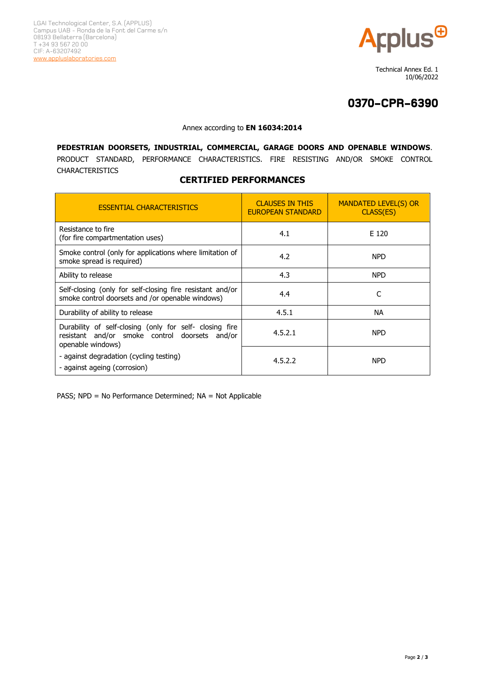

 Technical Annex Ed. 1 10/06/2022

## **0370-CPR-6390**

#### Annex according to **EN 16034:2014**

**PEDESTRIAN DOORSETS, INDUSTRIAL, COMMERCIAL, GARAGE DOORS AND OPENABLE WINDOWS**. PRODUCT STANDARD, PERFORMANCE CHARACTERISTICS. FIRE RESISTING AND/OR SMOKE CONTROL CHARACTERISTICS

### **CERTIFIED PERFORMANCES**

| <b>ESSENTIAL CHARACTERISTICS</b>                                                                                               | <b>CLAUSES IN THIS</b><br><b>EUROPEAN STANDARD</b> | <b>MANDATED LEVEL(S) OR</b><br>CLASS(ES) |
|--------------------------------------------------------------------------------------------------------------------------------|----------------------------------------------------|------------------------------------------|
| Resistance to fire<br>(for fire compartmentation uses)                                                                         | 4.1                                                | E 120                                    |
| Smoke control (only for applications where limitation of<br>smoke spread is required)                                          | 4.2                                                | <b>NPD</b>                               |
| Ability to release                                                                                                             | 4.3                                                | <b>NPD</b>                               |
| Self-closing (only for self-closing fire resistant and/or<br>smoke control doorsets and /or openable windows)                  | 4.4                                                | C                                        |
| Durability of ability to release                                                                                               | 4.5.1                                              | <b>NA</b>                                |
| Durability of self-closing (only for self- closing fire<br>resistant and/or smoke control doorsets and/or<br>openable windows) | 4.5.2.1                                            | <b>NPD</b>                               |
| - against degradation (cycling testing)<br>- against ageing (corrosion)                                                        | 4.5.2.2                                            | <b>NPD</b>                               |

PASS; NPD = No Performance Determined; NA = Not Applicable